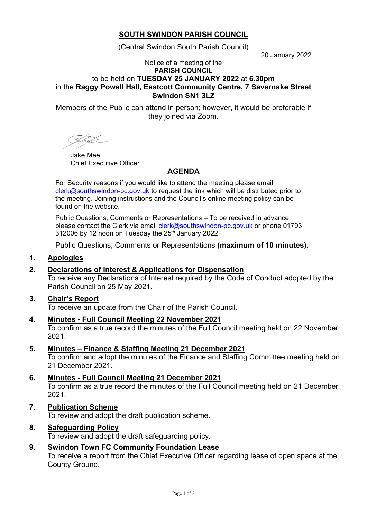# **SOUTH SWINDON PARISH COUNCIL**

(Central Swindon South Parish Council)

20 January 2022

#### Notice of a meeting of the **PARISH COUNCIL** to be held on **TUESDAY 25 JANUARY 2022** at **6.30pm** in the **Raggy Powell Hall, Eastcott Community Centre, 7 Savernake Street Swindon SN1 3LZ**

Members of the Public can attend in person; however, it would be preferable if they joined via Zoom.

Jake Mee Chief Executive Officer

# **AGENDA**

For Security reasons if you would like to attend the meeting please email [clerk@southswindon-pc.gov.uk](mailto:clerk@southswindon-pc.gov.uk) to request the link which will be distributed prior to the meeting. Joining instructions and the Council's online meeting policy can be found on the website.

Public Questions, Comments or Representations – To be received in advance, please contact the Clerk via email [clerk@southswindon-pc.gov.uk](mailto:clerk@southswindon-pc.gov.uk) or phone 01793 312006 by 12 noon on Tuesday the 25 th January 2022.

Public Questions, Comments or Representations **(maximum of 10 minutes).**

# **1. Apologies**

# **2. Declarations of Interest & Applications for Dispensation**

To receive any Declarations of Interest required by the Code of Conduct adopted by the Parish Council on 25 May 2021.

#### **3. Chair's Report**

To receive an update from the Chair of the Parish Council.

**4. Minutes - Full Council Meeting 22 November 2021**

To confirm as a true record the minutes of the Full Council meeting held on 22 November 2021.

**5. Minutes – Finance & Staffing Meeting 21 December 2021**

To confirm and adopt the minutes of the Finance and Staffing Committee meeting held on 21 December 2021.

- **6. Minutes - Full Council Meeting 21 December 2021** To confirm as a true record the minutes of the Full Council meeting held on 21 December 2021.
- **7. Publication Scheme**

To review and adopt the draft publication scheme.

#### **8. Safeguarding Policy**

To review and adopt the draft safeguarding policy.

# **9. Swindon Town FC Community Foundation Lease**

To receive a report from the Chief Executive Officer regarding lease of open space at the County Ground.